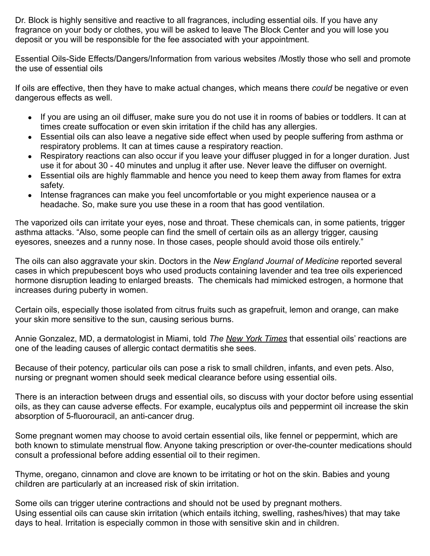Dr. Block is highly sensitive and reactive to all fragrances, including essential oils. If you have any fragrance on your body or clothes, you will be asked to leave The Block Center and you will lose you deposit or you will be responsible for the fee associated with your appointment.

Essential Oils-Side Effects/Dangers/Information from various websites /Mostly those who sell and promote the use of essential oils

If oils are effective, then they have to make actual changes, which means there *could* be negative or even dangerous effects as well.

- If you are using an oil diffuser, make sure you do not use it in rooms of babies or toddlers. It can at times create suffocation or even skin irritation if [the child has any allergies.](https://www.chikitsa.com/homeopathy-for-asthma-and-allergies-in-children)
- Essential oils can also leave a negative side effect when used by [people suffering from asthma](https://www.chikitsa.com/alternative-treatments-for-asthma) or respiratory problems. It can at times cause a respiratory reaction.
- Respiratory reactions can also occur if you leave your diffuser plugged in for a longer duration. Just use it for about 30 - 40 minutes and unplug it after use. Never leave the diffuser on overnight.
- Essential oils are highly flammable and hence you need to keep them away from flames for extra safety.
- Intense fragrances can make you feel uncomfortable or [you might experience nausea](https://www.chikitsa.com/how-to-get-rid-of-nausea) or a headache. So, make sure you use these in a room that has good ventilation.

The vaporized oils can [irritate your eyes, nose and](https://medicalxpress.com/news/2020-04-essential-oil-diffusers-pollution-home.html) throat. These chemicals can, in some patients, [trigger](https://www.ncbi.nlm.nih.gov/pmc/articles/PMC6593190/) [asthma attacks](https://www.ncbi.nlm.nih.gov/pmc/articles/PMC6593190/). "Also, some people can find the smell of certain oils as an allergy trigger, causing eyesores, sneezes and a runny nose. In those cases, people should avoid those oils entirely."

The oils can also aggravate your skin. Doctors in the *[New England Journal of Medicine](https://www.nejm.org/doi/full/10.1056/NEJMoa064725)* reported several cases in which prepubescent boys who used products containing lavender and tea tree oils experienced hormone disruption leading to enlarged breasts. The chemicals had mimicked estrogen, a hormone that increases during puberty in women.

Certain oils, especially those isolated from citrus fruits such as grapefruit, lemon and orange, can make your skin more sensitive to the sun, causing serious burns.

Annie Gonzalez, MD, a dermatologist in Miami, told *The New [York Times](https://www.nytimes.com/2021/03/11/style/self-care-essential-oils-may-be-wreaking-havoc-on-your-skin.html)* that essential oils' reactions are one of the leading causes of allergic contact dermatitis she sees.

Because of their potency, particular oils can pose a risk to small children, infants, and even pets. Also, nursing or pregnant women should seek medical clearance before using essential oils.

There is an interaction between drugs and essential oils, so discuss with your doctor before using essential oils, as they can cause adverse effects. For example, eucalyptus oils and peppermint oil increase the skin absorption of 5-fluorouracil, an anti-cancer drug.

Some pregnant women may choose to avoid certain essential oils, like fennel or peppermint, which are both known to stimulate menstrual flow. Anyone taking prescription or over-the-counter medications should consult a professional before adding essential oil to their regimen.

Thyme, oregano, cinnamon and clove are known to be irritating or hot on the skin. Babies and young children are particularly at an increased risk of skin irritation.

Some oils can trigger uterine contractions and should not be used by pregnant mothers. Using essential oils can cause skin irritation (which entails itching, swelling, rashes/hives) that may take days to heal. Irritation is especially common in those with sensitive skin and in children.